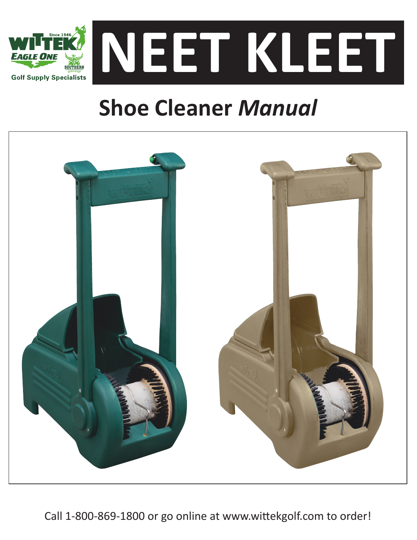

# **Shoe Cleaner** *Manual*



Call 1-800-869-1800 or go online at www.wittekgolf.com to order!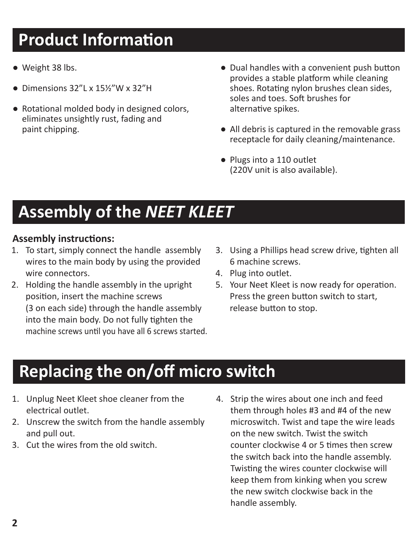### **Product Information**

- Weight 38 lbs.
- Dimensions 32"L x 15½"W x 32"H
- Rotational molded body in designed colors, eliminates unsightly rust, fading and paint chipping.
- Dual handles with a convenient push button provides a stable platform while cleaning shoes. Rotating nylon brushes clean sides, soles and toes. Soft brushes for alternative spikes.
- All debris is captured in the removable grass receptacle for daily cleaning/maintenance.
- Plugs into a 110 outlet (220V unit is also available).

### **Assembly of the** *NEET KLEET*

#### **Assembly instructions:**

- 1. To start, simply connect the handle assembly wires to the main body by using the provided wire connectors.
- 2. Holding the handle assembly in the upright position, insert the machine screws (3 on each side) through the handle assembly into the main body. Do not fully tighten the machine screws until you have all 6 screws started.
- 3. Using a Phillips head screw drive, tighten all 6 machine screws.
- 4. Plug into outlet.
- 5. Your Neet Kleet is now ready for operation. Press the green button switch to start, release button to stop.

### **Replacing the on/off micro switch**

- 1. Unplug Neet Kleet shoe cleaner from the electrical outlet.
- 2. Unscrew the switch from the handle assembly and pull out.
- 3. Cut the wires from the old switch.

4. Strip the wires about one inch and feed them through holes #3 and #4 of the new microswitch. Twist and tape the wire leads on the new switch. Twist the switch counter clockwise 4 or 5 times then screw the switch back into the handle assembly. Twisting the wires counter clockwise will keep them from kinking when you screw the new switch clockwise back in the handle assembly.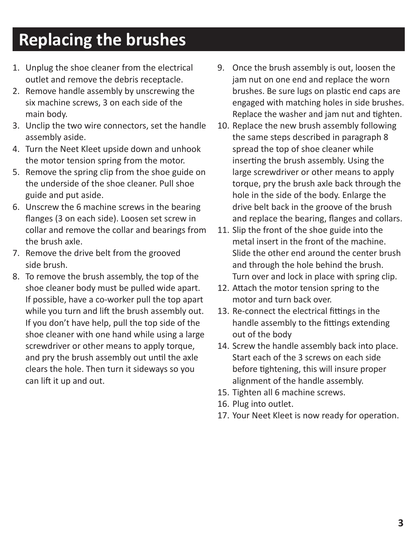## **Replacing the brushes**

- 1. Unplug the shoe cleaner from the electrical outlet and remove the debris receptacle.
- 2. Remove handle assembly by unscrewing the six machine screws, 3 on each side of the main body.
- 3. Unclip the two wire connectors, set the handle assembly aside.
- 4. Turn the Neet Kleet upside down and unhook the motor tension spring from the motor.
- 5. Remove the spring clip from the shoe guide on the underside of the shoe cleaner. Pull shoe guide and put aside.
- 6. Unscrew the 6 machine screws in the bearing flanges (3 on each side). Loosen set screw in collar and remove the collar and bearings from the brush axle.
- 7. Remove the drive belt from the grooved side brush.
- 8. To remove the brush assembly, the top of the shoe cleaner body must be pulled wide apart. If possible, have a co-worker pull the top apart while you turn and lift the brush assembly out. If you don't have help, pull the top side of the shoe cleaner with one hand while using a large screwdriver or other means to apply torque, and pry the brush assembly out until the axle clears the hole. Then turn it sideways so you can lift it up and out.
- 9. Once the brush assembly is out, loosen the jam nut on one end and replace the worn brushes. Be sure lugs on plastic end caps are engaged with matching holes in side brushes. Replace the washer and jam nut and tighten.
- 10. Replace the new brush assembly following the same steps described in paragraph 8 spread the top of shoe cleaner while inserting the brush assembly. Using the large screwdriver or other means to apply torque, pry the brush axle back through the hole in the side of the body. Enlarge the drive belt back in the groove of the brush and replace the bearing, flanges and collars.
- 11. Slip the front of the shoe guide into the metal insert in the front of the machine. Slide the other end around the center brush and through the hole behind the brush. Turn over and lock in place with spring clip.
- 12. Attach the motor tension spring to the motor and turn back over.
- 13. Re-connect the electrical fittings in the handle assembly to the fittings extending out of the body
- 14. Screw the handle assembly back into place. Start each of the 3 screws on each side before tightening, this will insure proper alignment of the handle assembly.
- 15. Tighten all 6 machine screws.
- 16. Plug into outlet.
- 17. Your Neet Kleet is now ready for operation.